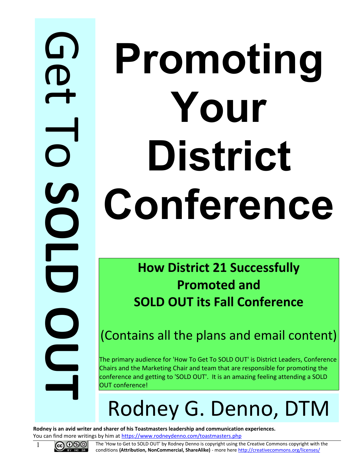## $\Omega$ **CD**  $\overline{\mathbf{t}}$  $\overline{\phantom{0}}$ o **S O L D O U T**

# **Promoting Your District Conference**

**How District 21 Successfully Promoted and SOLD OUT its Fall Conference**

(Contains all the plans and email content)

The primary audience for 'How To Get To SOLD OUT' is District Leaders, Conference Chairs and the Marketing Chair and team that are responsible for promoting the conference and getting to 'SOLD OUT'. It is an amazing feeling attending a SOLD OUT conference!

## Rodney G. Denno, DTM

**Rodney is an avid writer and sharer of his Toastmasters leadership and communication experiences.** You can find more writings by him at<https://www.rodneydenno.com/toastmasters.php>



**1 GOO** The 'How to Get to SOLD OUT' by Rodney Denno is copyright using the Creative Commons copyright with the conditions **(Attribution, NonCommercial, ShareAlike)** - more here<http://creativecommons.org/licenses/>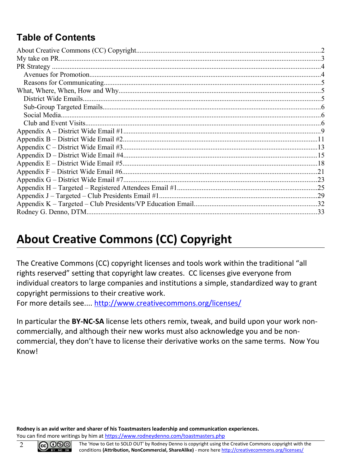## **Table of Contents**

## <span id="page-1-0"></span>**About Creative Commons (CC) Copyright**

The Creative Commons (CC) copyright licenses and tools work within the traditional "all rights reserved" setting that copyright law creates. CC licenses give everyone from individual creators to large companies and institutions a simple, standardized way to grant copyright permissions to their creative work.

For more details see....<http://www.creativecommons.org/licenses/>

In particular the **BY-NC-SA** license lets others remix, tweak, and build upon your work noncommercially, and although their new works must also acknowledge you and be noncommercial, they don't have to license their derivative works on the same terms. Now You Know!

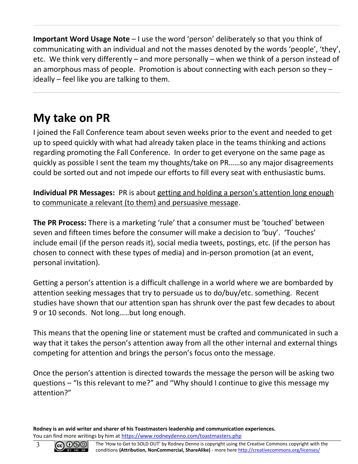**Important Word Usage Note** – I use the word 'person' deliberately so that you think of communicating with an individual and not the masses denoted by the words 'people', 'they', etc. We think very differently – and more personally – when we think of a person instead of an amorphous mass of people. Promotion is about connecting with each person so they – ideally – feel like you are talking to them.

## <span id="page-2-0"></span>**My take on PR**

I joined the Fall Conference team about seven weeks prior to the event and needed to get up to speed quickly with what had already taken place in the teams thinking and actions regarding promoting the Fall Conference. In order to get everyone on the same page as quickly as possible I sent the team my thoughts/take on PR……so any major disagreements could be sorted out and not impede our efforts to fill every seat with enthusiastic bums.

**Individual PR Messages:** PR is about getting and holding a person's attention long enough to communicate a relevant (to them) and persuasive message.

**The PR Process:** There is a marketing 'rule' that a consumer must be 'touched' between seven and fifteen times before the consumer will make a decision to 'buy'. 'Touches' include email (if the person reads it), social media tweets, postings, etc. (if the person has chosen to connect with these types of media) and in-person promotion (at an event, personal invitation).

Getting a person's attention is a difficult challenge in a world where we are bombarded by attention seeking messages that try to persuade us to do/buy/etc. something. Recent studies have shown that our attention span has shrunk over the past few decades to about 9 or 10 seconds. Not long…..but long enough.

This means that the opening line or statement must be crafted and communicated in such a way that it takes the person's attention away from all the other internal and external things competing for attention and brings the person's focus onto the message.

Once the person's attention is directed towards the message the person will be asking two questions – "Is this relevant to me?" and "Why should I continue to give this message my attention?"

**Rodney is an avid writer and sharer of his Toastmasters leadership and communication experiences.** You can find more writings by him at<https://www.rodneydenno.com/toastmasters.php>

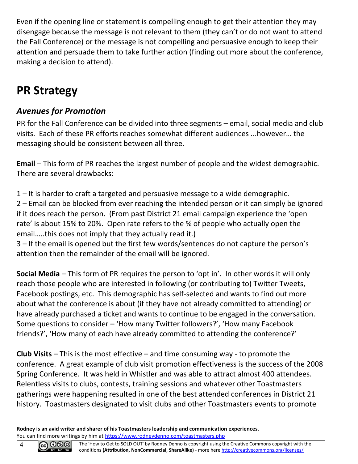Even if the opening line or statement is compelling enough to get their attention they may disengage because the message is not relevant to them (they can't or do not want to attend the Fall Conference) or the message is not compelling and persuasive enough to keep their attention and persuade them to take further action (finding out more about the conference, making a decision to attend).

## <span id="page-3-1"></span>**PR Strategy**

#### <span id="page-3-0"></span>*Avenues for Promotion*

PR for the Fall Conference can be divided into three segments – email, social media and club visits. Each of these PR efforts reaches somewhat different audiences ...however… the messaging should be consistent between all three.

**Email** – This form of PR reaches the largest number of people and the widest demographic. There are several drawbacks:

1 – It is harder to craft a targeted and persuasive message to a wide demographic.

2 – Email can be blocked from ever reaching the intended person or it can simply be ignored if it does reach the person. (From past District 21 email campaign experience the 'open rate' is about 15% to 20%. Open rate refers to the % of people who actually open the email…..this does not imply that they actually read it.)

3 – If the email is opened but the first few words/sentences do not capture the person's attention then the remainder of the email will be ignored.

**Social Media** – This form of PR requires the person to 'opt in'. In other words it will only reach those people who are interested in following (or contributing to) Twitter Tweets, Facebook postings, etc. This demographic has self-selected and wants to find out more about what the conference is about (if they have not already committed to attending) or have already purchased a ticket and wants to continue to be engaged in the conversation. Some questions to consider – 'How many Twitter followers?', 'How many Facebook friends?', 'How many of each have already committed to attending the conference?'

**Club Visits** – This is the most effective – and time consuming way - to promote the conference. A great example of club visit promotion effectiveness is the success of the 2008 Spring Conference. It was held in Whistler and was able to attract almost 400 attendees. Relentless visits to clubs, contests, training sessions and whatever other Toastmasters gatherings were happening resulted in one of the best attended conferences in District 21 history. Toastmasters designated to visit clubs and other Toastmasters events to promote

**Rodney is an avid writer and sharer of his Toastmasters leadership and communication experiences.** You can find more writings by him at<https://www.rodneydenno.com/toastmasters.php>

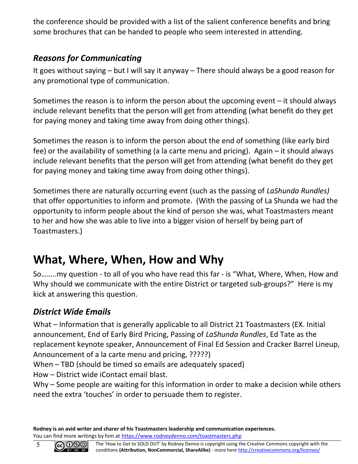the conference should be provided with a list of the salient conference benefits and bring some brochures that can be handed to people who seem interested in attending.

#### <span id="page-4-2"></span>*Reasons for Communicating*

It goes without saying – but I will say it anyway – There should always be a good reason for any promotional type of communication.

Sometimes the reason is to inform the person about the upcoming event – it should always include relevant benefits that the person will get from attending (what benefit do they get for paying money and taking time away from doing other things).

Sometimes the reason is to inform the person about the end of something (like early bird fee) or the availability of something (a la carte menu and pricing). Again – it should always include relevant benefits that the person will get from attending (what benefit do they get for paying money and taking time away from doing other things).

Sometimes there are naturally occurring event (such as the passing of *LaShunda Rundles)* that offer opportunities to inform and promote. (With the passing of La Shunda we had the opportunity to inform people about the kind of person she was, what Toastmasters meant to her and how she was able to live into a bigger vision of herself by being part of Toastmasters.)

## <span id="page-4-1"></span>**What, Where, When, How and Why**

So……..my question - to all of you who have read this far - is "What, Where, When, How and Why should we communicate with the entire District or targeted sub-groups?" Here is my kick at answering this question.

## <span id="page-4-0"></span>*District Wide Emails*

What – Information that is generally applicable to all District 21 Toastmasters (EX. Initial announcement, End of Early Bird Pricing, Passing of *LaShunda Rundles*, Ed Tate as the replacement keynote speaker, Announcement of Final Ed Session and Cracker Barrel Lineup, Announcement of a la carte menu and pricing, ?????)

When – TBD (should be timed so emails are adequately spaced)

How – District wide iContact email blast.

Why – Some people are waiting for this information in order to make a decision while others need the extra 'touches' in order to persuade them to register.



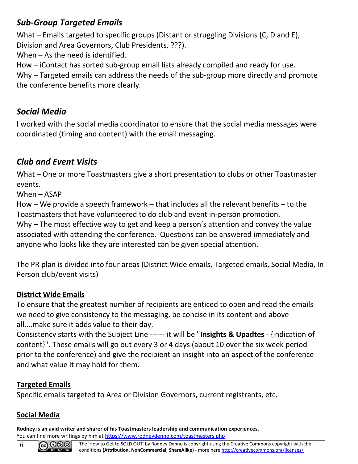#### <span id="page-5-2"></span>*Sub-Group Targeted Emails*

What – Emails targeted to specific groups (Distant or struggling Divisions {C, D and E}, Division and Area Governors, Club Presidents, ???).

When – As the need is identified.

How – iContact has sorted sub-group email lists already compiled and ready for use.

Why – Targeted emails can address the needs of the sub-group more directly and promote the conference benefits more clearly.

#### <span id="page-5-1"></span>*Social Media*

I worked with the social media coordinator to ensure that the social media messages were coordinated (timing and content) with the email messaging.

#### <span id="page-5-0"></span>*Club and Event Visits*

What – One or more Toastmasters give a short presentation to clubs or other Toastmaster events.

When – ASAP

How – We provide a speech framework – that includes all the relevant benefits – to the Toastmasters that have volunteered to do club and event in-person promotion.

Why – The most effective way to get and keep a person's attention and convey the value associated with attending the conference. Questions can be answered immediately and anyone who looks like they are interested can be given special attention.

The PR plan is divided into four areas (District Wide emails, Targeted emails, Social Media, In Person club/event visits)

#### **District Wide Emails**

To ensure that the greatest number of recipients are enticed to open and read the emails we need to give consistency to the messaging, be concise in its content and above all....make sure it adds value to their day.

Consistency starts with the Subject Line ------ it will be "**Insights & Upadtes** - {indication of content}". These emails will go out every 3 or 4 days (about 10 over the six week period prior to the conference) and give the recipient an insight into an aspect of the conference and what value it may hold for them.

#### **Targeted Emails**

Specific emails targeted to Area or Division Governors, current registrants, etc.

#### **Social Media**

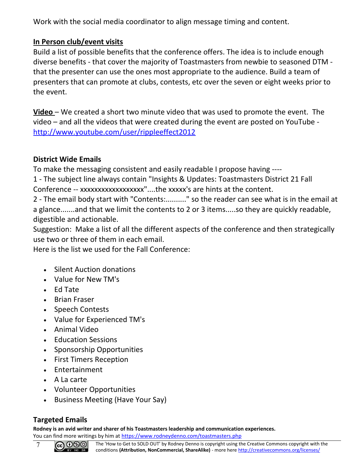Work with the social media coordinator to align message timing and content.

#### **In Person club/event visits**

Build a list of possible benefits that the conference offers. The idea is to include enough diverse benefits - that cover the majority of Toastmasters from newbie to seasoned DTM that the presenter can use the ones most appropriate to the audience. Build a team of presenters that can promote at clubs, contests, etc over the seven or eight weeks prior to the event.

**Video** – We created a short two minute video that was used to promote the event. The video – and all the videos that were created during the event are posted on YouTube <http://www.youtube.com/user/rippleeffect2012>

#### **District Wide Emails**

To make the messaging consistent and easily readable I propose having ----

1 - The subject line always contain "Insights & Updates: Toastmasters District 21 Fall Conference -- xxxxxxxxxxxxxxxxxx"....the xxxxx's are hints at the content.

2 - The email body start with "Contents:.........." so the reader can see what is in the email at a glance.......and that we limit the contents to 2 or 3 items.....so they are quickly readable, digestible and actionable.

Suggestion: Make a list of all the different aspects of the conference and then strategically use two or three of them in each email.

Here is the list we used for the Fall Conference:

- Silent Auction donations
- Value for New TM's
- Ed Tate
- Brian Fraser
- Speech Contests
- Value for Experienced TM's
- Animal Video
- Education Sessions
- Sponsorship Opportunities
- First Timers Reception
- Entertainment
- A La carte
- Volunteer Opportunities
- Business Meeting (Have Your Say)

#### **Targeted Emails**

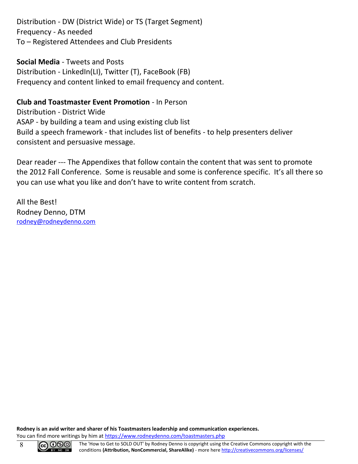Distribution - DW (District Wide) or TS (Target Segment) Frequency - As needed To – Registered Attendees and Club Presidents

#### **Social Media** - Tweets and Posts

Distribution - LinkedIn(LI), Twitter (T), FaceBook (FB) Frequency and content linked to email frequency and content.

#### **Club and Toastmaster Event Promotion** - In Person

Distribution - District Wide ASAP - by building a team and using existing club list Build a speech framework - that includes list of benefits - to help presenters deliver consistent and persuasive message.

Dear reader --- The Appendixes that follow contain the content that was sent to promote the 2012 Fall Conference. Some is reusable and some is conference specific. It's all there so you can use what you like and don't have to write content from scratch.

All the Best! Rodney Denno, DTM [rodney@rodneydenno.com](mailto:rodney@rodneydenno.com)

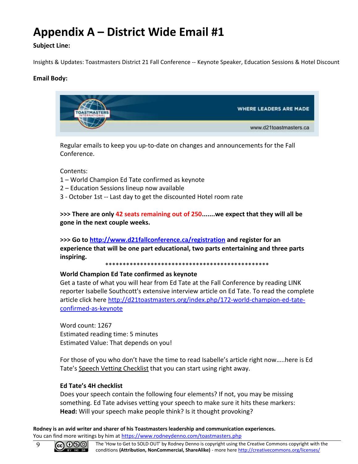## <span id="page-8-0"></span>**Appendix A – District Wide Email #1**

#### **Subject Line:**

Insights & Updates: Toastmasters District 21 Fall Conference -- Keynote Speaker, Education Sessions & Hotel Discount

#### **Email Body:**



Regular emails to keep you up-to-date on changes and announcements for the Fall Conference.

Contents:

- 1 World Champion Ed Tate confirmed as keynote
- 2 Education Sessions lineup now available
- 3 October 1st -- Last day to get the discounted Hotel room rate

**>>> There are only 42 seats remaining out of 250.......we expect that they will all be gone in the next couple weeks.** 

**>>> Go to [http://www.d21fallconference.ca/registration](http://click.icptrack.com/icp/relay.php?r=1027821418&msgid=4630198&act=BRC1&c=14495&destination=http%3A%2F%2Fwww.d21fallconference.ca%2Fregistration) and register for an experience that will be one part educational, two parts entertaining and three parts inspiring.**

\*\*\*\*\*\*\*\*\*\*\*\*\*\*\*\*\*\*\*\*\*\*\*\*\*\*\*\*\*\*\*\*\*\*\*\*\*\*\*\*\*\*\*\*\*\*\*

#### **World Champion Ed Tate confirmed as keynote**

Get a taste of what you will hear from Ed Tate at the Fall Conference by reading LINK reporter Isabelle Southcott's extensive interview article on Ed Tate. To read the complete article click here [http://d21toastmasters.org/index.php/172-world-champion-ed-tate](http://click.icptrack.com/icp/relay.php?r=1027821418&msgid=4630198&act=BRC1&c=14495&destination=http%3A%2F%2Fd21toastmasters.org%2Findex.php%2F172-world-champion-ed-tate-confirmed-as-keynote)[confirmed-as-keynote](http://click.icptrack.com/icp/relay.php?r=1027821418&msgid=4630198&act=BRC1&c=14495&destination=http%3A%2F%2Fd21toastmasters.org%2Findex.php%2F172-world-champion-ed-tate-confirmed-as-keynote)

Word count: 1267 Estimated reading time: 5 minutes Estimated Value: That depends on you!

For those of you who don't have the time to read Isabelle's article right now…..here is Ed Tate's Speech Vetting Checklist that you can start using right away.

#### **Ed Tate's 4H checklist**

Does your speech contain the following four elements? If not, you may be missing something. Ed Tate advises vetting your speech to make sure it hits these markers: **Head:** Will your speech make people think? Is it thought provoking?

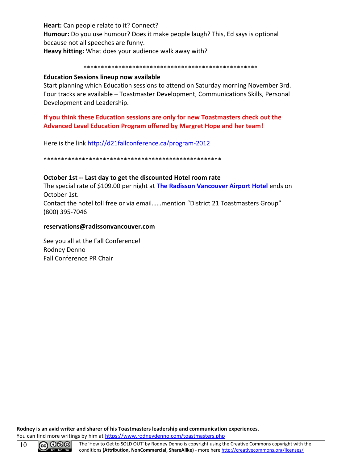**Heart:** Can people relate to it? Connect? **Humour:** Do you use humour? Does it make people laugh? This, Ed says is optional because not all speeches are funny. **Heavy hitting:** What does your audience walk away with?

#### \*\*\*\*\*\*\*\*\*\*\*\*\*\*\*\*\*\*\*\*\*\*\*\*\*\*\*\*\*\*\*\*\*\*\*\*\*\*\*\*\*\*\*\*\*\*\*\*\*\*

#### **Education Sessions lineup now available**

Start planning which Education sessions to attend on Saturday morning November 3rd. Four tracks are available – Toastmaster Development, Communications Skills, Personal Development and Leadership.

#### **If you think these Education sessions are only for new Toastmasters check out the Advanced Level Education Program offered by Margret Hope and her team!**

Here is the link [http://d21fallconference.ca/program-2012](http://click.icptrack.com/icp/relay.php?r=1027821418&msgid=4630198&act=BRC1&c=14495&destination=http%3A%2F%2Fd21fallconference.ca%2Fprogram-2012)

\*\*\*\*\*\*\*\*\*\*\*\*\*\*\*\*\*\*\*\*\*\*\*\*\*\*\*\*\*\*\*\*\*\*\*\*\*\*\*\*\*\*\*\*\*\*\*\*\*\*\*

#### **October 1st -- Last day to get the discounted Hotel room rate**

The special rate of \$109.00 per night at **[The Radisson Vancouver Airport Hotel](http://click.icptrack.com/icp/relay.php?r=1027821418&msgid=4630198&act=BRC1&c=14495&destination=http%3A%2F%2Fwww.radisson.com%2Frichmond-hotel-bc-v6x3x9%2Fbcvanair)** ends on October 1st.

Contact the hotel toll free or via email……mention "District 21 Toastmasters Group" (800) 395-7046

#### **reservations@radissonvancouver.com**

See you all at the Fall Conference! Rodney Denno Fall Conference PR Chair

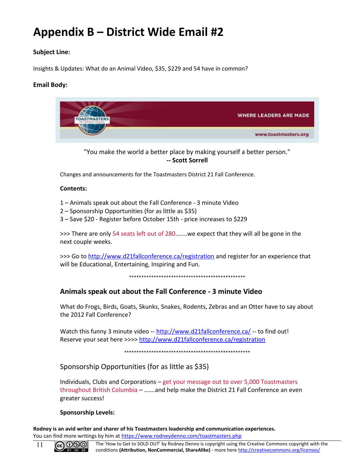## <span id="page-10-0"></span>**Appendix B – District Wide Email #2**

#### **Subject Line:**

Insights & Updates: What do an Animal Video, \$35, \$229 and 54 have in common?

#### **Email Body:**



"You make the world a better place by making yourself a better person." **-- Scott Sorrell**

Changes and announcements for the Toastmasters District 21 Fall Conference.

#### **Contents:**

- 1 Animals speak out about the Fall Conference 3 minute Video
- 2 Sponsorship Opportunities (for as little as \$35)
- 3 Save \$20 Register before October 15th price increases to \$229

>>> There are only 54 seats left out of 280.......we expect that they will all be gone in the next couple weeks.

>>> Go to [http://www.d21fallconference.ca/registration](http://click.icptrack.com/icp/relay.php?r=1027821418&msgid=4633242&act=BRC1&c=14495&destination=http%3A%2F%2Fwww.d21fallconference.ca%2Fregistration) and register for an experience that will be Educational, Entertaining, Inspiring and Fun.

\*\*\*\*\*\*\*\*\*\*\*\*\*\*\*\*\*\*\*\*\*\*\*\*\*\*\*\*\*\*\*\*\*\*\*\*\*\*\*\*\*\*\*\*\*\*\*

#### **Animals speak out about the Fall Conference - 3 minute Video**

What do Frogs, Birds, Goats, Skunks, Snakes, Rodents, Zebras and an Otter have to say about the 2012 Fall Conference?

Watch this funny 3 minute video -- [http://www.d21fallconference.ca/](http://click.icptrack.com/icp/relay.php?r=1027821418&msgid=4633242&act=BRC1&c=14495&destination=http%3A%2F%2Fwww.d21fallconference.ca%2F) -- to find out! Reserve your seat here >>>> [http://www.d21fallconference.ca/registration](http://click.icptrack.com/icp/relay.php?r=1027821418&msgid=4633242&act=BRC1&c=14495&destination=http%3A%2F%2Fwww.d21fallconference.ca%2Fregistration)

\*\*\*\*\*\*\*\*\*\*\*\*\*\*\*\*\*\*\*\*\*\*\*\*\*\*\*\*\*\*\*\*\*\*\*\*\*\*\*\*\*\*\*\*\*\*\*\*\*\*\*

Sponsorship Opportunities (for as little as \$35)

Individuals, Clubs and Corporations – get your message out to over 5,000 Toastmasters throughout British Columbia – …….and help make the District 21 Fall Conference an even greater success!

#### **Sponsorship Levels:**

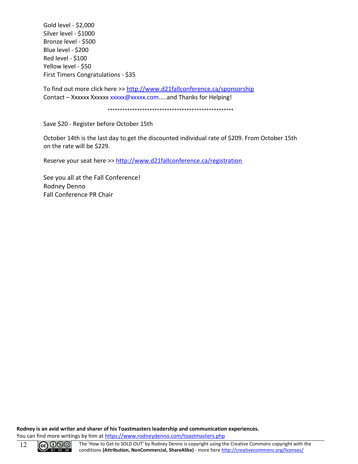Gold level - \$2,000 Silver level - \$1000 Bronze level - \$500 Blue level - \$200 Red level - \$100 Yellow level - \$50 First Timers Congratulations - \$35

To find out more click here >> [http://www.d21fallconference.ca/sponsorship](http://click.icptrack.com/icp/relay.php?r=1027821418&msgid=4633242&act=BRC1&c=14495&destination=http%3A%2F%2Fwww.d21fallconference.ca%2Fsponsorship) Contact – Xxxxxx Xxxxxx xxxxx@xxxxx.com.....and Thanks for Helping!

\*\*\*\*\*\*\*\*\*\*\*\*\*\*\*\*\*\*\*\*\*\*\*\*\*\*\*\*\*\*\*\*\*\*\*\*\*\*\*\*\*\*\*\*\*\*\*\*\*\*\*

Save \$20 - Register before October 15th

October 14th is the last day to get the discounted individual rate of \$209. From October 15th on the rate will be \$229.

Reserve your seat here >> [http://www.d21fallconference.ca/registration](http://click.icptrack.com/icp/relay.php?r=1027821418&msgid=4633242&act=BRC1&c=14495&destination=http%3A%2F%2Fwww.d21fallconference.ca%2Fregistration)

See you all at the Fall Conference! Rodney Denno Fall Conference PR Chair

**Rodney is an avid writer and sharer of his Toastmasters leadership and communication experiences.** You can find more writings by him at<https://www.rodneydenno.com/toastmasters.php>

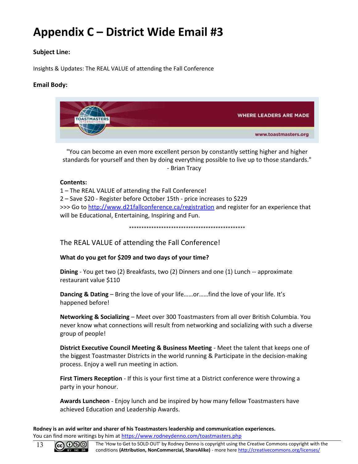## <span id="page-12-0"></span>**Appendix C – District Wide Email #3**

#### **Subject Line:**

Insights & Updates: The REAL VALUE of attending the Fall Conference

#### **Email Body:**



"You can become an even more excellent person by constantly setting higher and higher standards for yourself and then by doing everything possible to live up to those standards." - Brian Tracy

#### **Contents:**

1 – The REAL VALUE of attending the Fall Conference! 2 – Save \$20 - Register before October 15th - price increases to \$229 >>> Go to [http://www.d21fallconference.ca/registration](http://click.icptrack.com/icp/relay.php?r=1027821418&msgid=4633823&act=BRC1&c=14495&destination=http%3A%2F%2Fwww.d21fallconference.ca%2Fregistration) and register for an experience that will be Educational, Entertaining, Inspiring and Fun.

\*\*\*\*\*\*\*\*\*\*\*\*\*\*\*\*\*\*\*\*\*\*\*\*\*\*\*\*\*\*\*\*\*\*\*\*\*\*\*\*\*\*\*\*\*\*\*

The REAL VALUE of attending the Fall Conference!

**What do you get for \$209 and two days of your time?**

**Dining** - You get two (2) Breakfasts, two (2) Dinners and one (1) Lunch -- approximate restaurant value \$110

**Dancing & Dating** – Bring the love of your life……or……find the love of your life. It's happened before!

**Networking & Socializing** – Meet over 300 Toastmasters from all over British Columbia. You never know what connections will result from networking and socializing with such a diverse group of people!

**District Executive Council Meeting & Business Meeting** - Meet the talent that keeps one of the biggest Toastmaster Districts in the world running & Participate in the decision-making process. Enjoy a well run meeting in action.

**First Timers Reception** - If this is your first time at a District conference were throwing a party in your honour.

**Awards Luncheon** - Enjoy lunch and be inspired by how many fellow Toastmasters have achieved Education and Leadership Awards.

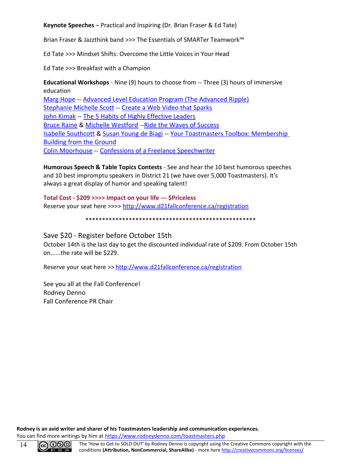**Keynote Speeches** – Practical and Inspiring (Dr. Brian Fraser & Ed Tate)

Brian Fraser & Jazzthink band >>> The Essentials of SMARTer Teamwork™

Ed Tate >>> Mindset Shifts: Overcome the Little Voices in Your Head

Ed Tate >>> Breakfast with a Champion

**Educational Workshops** - Nine (9) hours to choose from -- Three (3) hours of immersive education Marg Hope -- Advanced Level Education Program (The Advanced Ripple) [Stephanie Michelle Scott](http://click.icptrack.com/icp/relay.php?r=1027821418&msgid=4633823&act=BRC1&c=14495&destination=http%3A%2F%2Fwww.d21fallconference.ca%2F114-presenter-stephanie-michelle-scott) -- Create a Web Video that Sparks [John Kimak](http://click.icptrack.com/icp/relay.php?r=1027821418&msgid=4633823&act=BRC1&c=14495&destination=http%3A%2F%2Fwww.d21fallconference.ca%2F107-presenter-john-kimak) -- The 5 Habits of Highly Effective Leaders [Bruce Raine](http://click.icptrack.com/icp/relay.php?r=1027821418&msgid=4633823&act=BRC1&c=14495&destination=http%3A%2F%2Fwww.d21fallconference.ca%2F112-presenter-bruce-raine) & [Michelle Westford](http://click.icptrack.com/icp/relay.php?r=1027821418&msgid=4633823&act=BRC1&c=14495&destination=http%3A%2F%2Fwww.d21fallconference.ca%2F113-presenter-michelle-westford) -- Ride the Waves of Success [Isabelle Southcott](http://click.icptrack.com/icp/relay.php?r=1027821418&msgid=4633823&act=BRC1&c=14495&destination=http%3A%2F%2Fwww.d21fallconference.ca%2F108-presenter-isabelle-southcott) & [Susan Young de Biagi](http://click.icptrack.com/icp/relay.php?r=1027821418&msgid=4633823&act=BRC1&c=14495&destination=http%3A%2F%2Fwww.d21fallconference.ca%2F109-presenter-susan-biagi) -- Your Toastmasters Toolbox: Membership [Building from the Ground](http://click.icptrack.com/icp/relay.php?r=1027821418&msgid=4633823&act=BRC1&c=14495&destination=http%3A%2F%2Fwww.d21fallconference.ca%2F110-workshop-toastmasters-toolbox) [Colin Moorhouse](http://click.icptrack.com/icp/relay.php?r=1027821418&msgid=4633823&act=BRC1&c=14495&destination=http%3A%2F%2Fwww.d21fallconference.ca%2F118-presenter-colin-moorhouse) -- Confessions of a Freelance Speechwriter

**Humorous Speech & Table Topics Contests** - See and hear the 10 best humorous speeches and 10 best impromptu speakers in District 21 (we have over 5,000 Toastmasters). It's always a great display of humor and speaking talent!

**Total Cost - \$209 >>>> Impact on your life --- \$Priceless** Reserve your seat here >>>> [http://www.d21fallconference.ca/registration](http://click.icptrack.com/icp/relay.php?r=1027821418&msgid=4633823&act=BRC1&c=14495&destination=http%3A%2F%2Fwww.d21fallconference.ca%2Fregistration)

\*\*\*\*\*\*\*\*\*\*\*\*\*\*\*\*\*\*\*\*\*\*\*\*\*\*\*\*\*\*\*\*\*\*\*\*\*\*\*\*\*\*\*\*\*\*\*\*\*\*\*

Save \$20 - Register before October 15th October 14th is the last day to get the discounted individual rate of \$209. From October 15th on......the rate will be \$229.

Reserve your seat here >> [http://www.d21fallconference.ca/registration](http://click.icptrack.com/icp/relay.php?r=1027821418&msgid=4633823&act=BRC1&c=14495&destination=http%3A%2F%2Fwww.d21fallconference.ca%2Fregistration)

See you all at the Fall Conference! Rodney Denno Fall Conference PR Chair

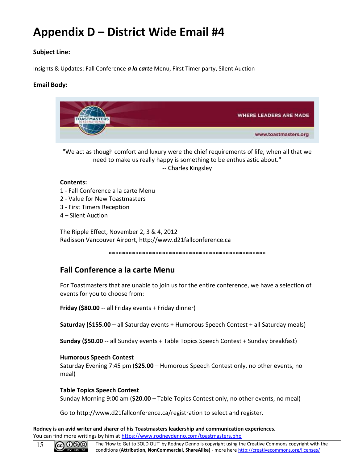## <span id="page-14-0"></span>**Appendix D – District Wide Email #4**

#### **Subject Line:**

Insights & Updates: Fall Conference *a la carte* Menu, First Timer party, Silent Auction

#### **Email Body:**



"We act as though comfort and luxury were the chief requirements of life, when all that we need to make us really happy is something to be enthusiastic about." -- Charles Kingsley

#### **Contents:**

- 1 Fall Conference a la carte Menu
- 2 Value for New Toastmasters
- 3 First Timers Reception
- 4 Silent Auction

The Ripple Effect, November 2, 3 & 4, 2012 Radisson Vancouver Airport, http://www.d21fallconference.ca

\*\*\*\*\*\*\*\*\*\*\*\*\*\*\*\*\*\*\*\*\*\*\*\*\*\*\*\*\*\*\*\*\*\*\*\*\*\*\*\*\*\*\*\*\*\*\*

#### **Fall Conference a la carte Menu**

For Toastmasters that are unable to join us for the entire conference, we have a selection of events for you to choose from:

**Friday (\$80.00** -- all Friday events + Friday dinner)

**Saturday (\$155.00** – all Saturday events + Humorous Speech Contest + all Saturday meals)

**Sunday (\$50.00** -- all Sunday events + Table Topics Speech Contest + Sunday breakfast)

#### **Humorous Speech Contest**

Saturday Evening 7:45 pm (**\$25.00** – Humorous Speech Contest only, no other events, no meal)

#### **Table Topics Speech Contest**

Sunday Morning 9:00 am (**\$20.00** – Table Topics Contest only, no other events, no meal)

Go to http://www.d21fallconference.ca/registration to select and register.

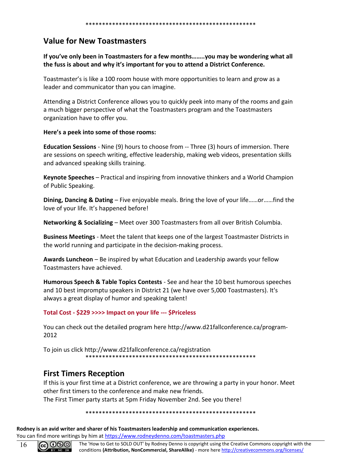#### **Value for New Toastmasters**

#### **If you've only been in Toastmasters for a few months……..you may be wondering what all the fuss is about and why it's important for you to attend a District Conference.**

Toastmaster's is like a 100 room house with more opportunities to learn and grow as a leader and communicator than you can imagine.

Attending a District Conference allows you to quickly peek into many of the rooms and gain a much bigger perspective of what the Toastmasters program and the Toastmasters organization have to offer you.

#### **Here's a peek into some of those rooms:**

**Education Sessions** - Nine (9) hours to choose from -- Three (3) hours of immersion. There are sessions on speech writing, effective leadership, making web videos, presentation skills and advanced speaking skills training.

**Keynote Speeches** – Practical and inspiring from innovative thinkers and a World Champion of Public Speaking.

**Dining, Dancing & Dating** – Five enjoyable meals. Bring the love of your life……or……find the love of your life. It's happened before!

**Networking & Socializing** – Meet over 300 Toastmasters from all over British Columbia.

**Business Meetings** - Meet the talent that keeps one of the largest Toastmaster Districts in the world running and participate in the decision-making process.

**Awards Luncheon** – Be inspired by what Education and Leadership awards your fellow Toastmasters have achieved.

**Humorous Speech & Table Topics Contests** - See and hear the 10 best humorous speeches and 10 best impromptu speakers in District 21 (we have over 5,000 Toastmasters). It's always a great display of humor and speaking talent!

#### **Total Cost - \$229 >>>> Impact on your life --- \$Priceless**

You can check out the detailed program here http://www.d21fallconference.ca/program-2012

To join us click http://www.d21fallconference.ca/registration \*\*\*\*\*\*\*\*\*\*\*\*\*\*\*\*\*\*\*\*\*\*\*\*\*\*\*\*\*\*\*\*\*\*\*\*\*\*\*\*\*\*\*\*\*\*\*\*\*\*\*

#### **First Timers Reception**

If this is your first time at a District conference, we are throwing a party in your honor. Meet other first timers to the conference and make new friends.

The First Timer party starts at 5pm Friday November 2nd. See you there!

\*\*\*\*\*\*\*\*\*\*\*\*\*\*\*\*\*\*\*\*\*\*\*\*\*\*\*\*\*\*\*\*\*\*\*\*\*\*\*\*\*\*\*\*\*\*\*\*\*\*\*

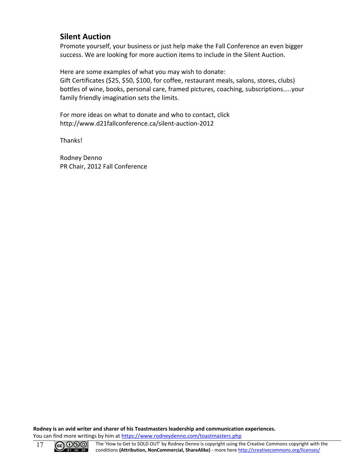#### **Silent Auction**

Promote yourself, your business or just help make the Fall Conference an even bigger success. We are looking for more auction items to include in the Silent Auction.

Here are some examples of what you may wish to donate: Gift Certificates (\$25, \$50, \$100, for coffee, restaurant meals, salons, stores, clubs) bottles of wine, books, personal care, framed pictures, coaching, subscriptions…..your family friendly imagination sets the limits.

For more ideas on what to donate and who to contact, click http://www.d21fallconference.ca/silent-auction-2012

Thanks!

Rodney Denno PR Chair, 2012 Fall Conference

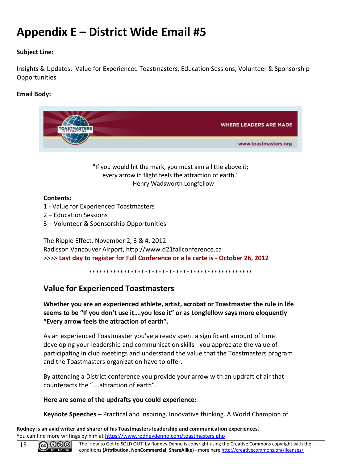## <span id="page-17-0"></span>**Appendix E – District Wide Email #5**

#### **Subject Line:**

Insights & Updates: Value for Experienced Toastmasters, Education Sessions, Volunteer & Sponsorship Opportunities

#### **Email Body:**



"If you would hit the mark, you must aim a little above it; every arrow in flight feels the attraction of earth." -- Henry Wadsworth Longfellow

#### **Contents:**

- 1 Value for Experienced Toastmasters
- 2 Education Sessions
- 3 Volunteer & Sponsorship Opportunities

The Ripple Effect, November 2, 3 & 4, 2012 Radisson Vancouver Airport, http://www.d21fallconference.ca >>>> **Last day to register for Full Conference or a la carte is - October 26, 2012**

\*\*\*\*\*\*\*\*\*\*\*\*\*\*\*\*\*\*\*\*\*\*\*\*\*\*\*\*\*\*\*\*\*\*\*\*\*\*\*\*\*\*\*\*\*\*\*

#### **Value for Experienced Toastmasters**

**Whether you are an experienced athlete, artist, acrobat or Toastmaster the rule in life seems to be "If you don't use it….you lose it" or as Longfellow says more eloquently "Every arrow feels the attraction of earth".**

As an experienced Toastmaster you've already spent a significant amount of time developing your leadership and communication skills - you appreciate the value of participating in club meetings and understand the value that the Toastmasters program and the Toastmasters organization have to offer.

By attending a District conference you provide your arrow with an updraft of air that counteracts the "….attraction of earth".

#### **Here are some of the updrafts you could experience:**

**Keynote Speeches** – Practical and inspiring. Innovative thinking. A World Champion of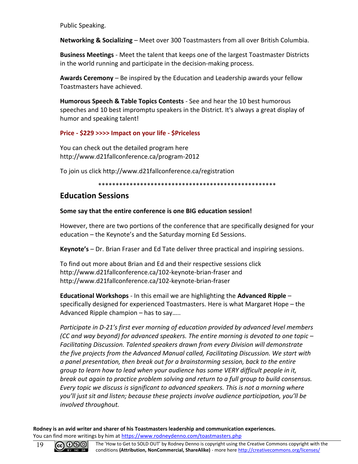Public Speaking.

**Networking & Socializing** – Meet over 300 Toastmasters from all over British Columbia.

**Business Meetings** - Meet the talent that keeps one of the largest Toastmaster Districts in the world running and participate in the decision-making process.

**Awards Ceremony** – Be inspired by the Education and Leadership awards your fellow Toastmasters have achieved.

**Humorous Speech & Table Topics Contests** - See and hear the 10 best humorous speeches and 10 best impromptu speakers in the District. It's always a great display of humor and speaking talent!

#### **Price - \$229 >>>> Impact on your life - \$Priceless**

You can check out the detailed program here http://www.d21fallconference.ca/program-2012

To join us click http://www.d21fallconference.ca/registration

\*\*\*\*\*\*\*\*\*\*\*\*\*\*\*\*\*\*\*\*\*\*\*\*\*\*\*\*\*\*\*\*\*\*\*\*\*\*\*\*\*\*\*\*\*\*\*\*\*\*\*

#### **Education Sessions**

#### **Some say that the entire conference is one BIG education session!**

However, there are two portions of the conference that are specifically designed for your education – the Keynote's and the Saturday morning Ed Sessions.

**Keynote's** – Dr. Brian Fraser and Ed Tate deliver three practical and inspiring sessions.

To find out more about Brian and Ed and their respective sessions click http://www.d21fallconference.ca/102-keynote-brian-fraser and http://www.d21fallconference.ca/102-keynote-brian-fraser

**Educational Workshops** - In this email we are highlighting the **Advanced Ripple** – specifically designed for experienced Toastmasters. Here is what Margaret Hope – the Advanced Ripple champion – has to say…..

*Participate in D-21's first ever morning of education provided by advanced level members (CC and way beyond) for advanced speakers. The entire morning is devoted to one topic – Facilitating Discussion. Talented speakers drawn from every Division will demonstrate the five projects from the Advanced Manual called, Facilitating Discussion. We start with a panel presentation, then break out for a brainstorming session, back to the entire group to learn how to lead when your audience has some VERY difficult people in it, break out again to practice problem solving and return to a full group to build consensus. Every topic we discuss is significant to advanced speakers. This is not a morning where you'll just sit and listen; because these projects involve audience participation, you'll be involved throughout.*

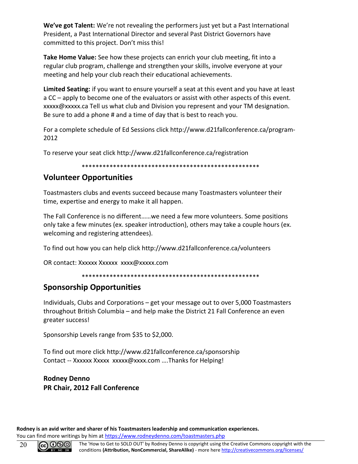**We've got Talent:** We're not revealing the performers just yet but a Past International President, a Past International Director and several Past District Governors have committed to this project. Don't miss this!

**Take Home Value:** See how these projects can enrich your club meeting, fit into a regular club program, challenge and strengthen your skills, involve everyone at your meeting and help your club reach their educational achievements.

**Limited Seating:** if you want to ensure yourself a seat at this event and you have at least a CC – apply to become one of the evaluators or assist with other aspects of this event. xxxxx@xxxxx.ca Tell us what club and Division you represent and your TM designation. Be sure to add a phone # and a time of day that is best to reach you.

For a complete schedule of Ed Sessions click http://www.d21fallconference.ca/program-2012

To reserve your seat click http://www.d21fallconference.ca/registration

#### \*\*\*\*\*\*\*\*\*\*\*\*\*\*\*\*\*\*\*\*\*\*\*\*\*\*\*\*\*\*\*\*\*\*\*\*\*\*\*\*\*\*\*\*\*\*\*\*\*\*\*

#### **Volunteer Opportunities**

Toastmasters clubs and events succeed because many Toastmasters volunteer their time, expertise and energy to make it all happen.

The Fall Conference is no different……we need a few more volunteers. Some positions only take a few minutes (ex. speaker introduction), others may take a couple hours (ex. welcoming and registering attendees).

To find out how you can help click http://www.d21fallconference.ca/volunteers

OR contact: Xxxxxx Xxxxxx xxxx@xxxxx.com

#### \*\*\*\*\*\*\*\*\*\*\*\*\*\*\*\*\*\*\*\*\*\*\*\*\*\*\*\*\*\*\*\*\*\*\*\*\*\*\*\*\*\*\*\*\*\*\*\*\*\*\*

#### **Sponsorship Opportunities**

Individuals, Clubs and Corporations – get your message out to over 5,000 Toastmasters throughout British Columbia – and help make the District 21 Fall Conference an even greater success!

Sponsorship Levels range from \$35 to \$2,000.

To find out more click http://www.d21fallconference.ca/sponsorship Contact -- Xxxxxx Xxxxx xxxxx@xxxx.com ....Thanks for Helping!

#### **Rodney Denno PR Chair, 2012 Fall Conference**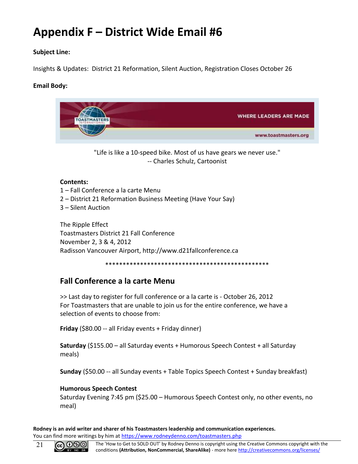## <span id="page-20-0"></span>**Appendix F – District Wide Email #6**

#### **Subject Line:**

Insights & Updates: District 21 Reformation, Silent Auction, Registration Closes October 26

#### **Email Body:**



The Ripple Effect Toastmasters District 21 Fall Conference November 2, 3 & 4, 2012 Radisson Vancouver Airport, http://www.d21fallconference.ca

\*\*\*\*\*\*\*\*\*\*\*\*\*\*\*\*\*\*\*\*\*\*\*\*\*\*\*\*\*\*\*\*\*\*\*\*\*\*\*\*\*\*\*\*\*\*\*

#### **Fall Conference a la carte Menu**

>> Last day to register for full conference or a la carte is - October 26, 2012 For Toastmasters that are unable to join us for the entire conference, we have a selection of events to choose from:

**Friday** (\$80.00 -- all Friday events + Friday dinner)

**Saturday** (\$155.00 – all Saturday events + Humorous Speech Contest + all Saturday meals)

**Sunday** (\$50.00 -- all Sunday events + Table Topics Speech Contest + Sunday breakfast)

#### **Humorous Speech Contest**

Saturday Evening 7:45 pm (\$25.00 – Humorous Speech Contest only, no other events, no meal)

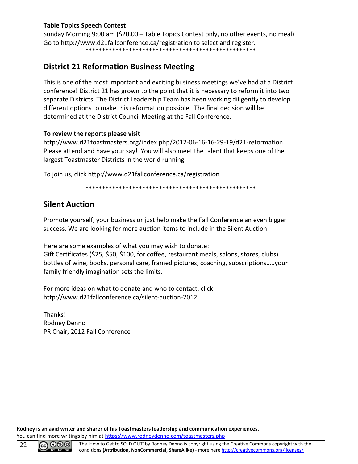#### **Table Topics Speech Contest**

Sunday Morning 9:00 am (\$20.00 – Table Topics Contest only, no other events, no meal) Go to http://www.d21fallconference.ca/registration to select and register. \*\*\*\*\*\*\*\*\*\*\*\*\*\*\*\*\*\*\*\*\*\*\*\*\*\*\*\*\*\*\*\*\*\*\*\*\*\*\*\*\*\*\*\*\*\*\*\*\*\*\*

#### **District 21 Reformation Business Meeting**

This is one of the most important and exciting business meetings we've had at a District conference! District 21 has grown to the point that it is necessary to reform it into two separate Districts. The District Leadership Team has been working diligently to develop different options to make this reformation possible. The final decision will be determined at the District Council Meeting at the Fall Conference.

#### **To review the reports please visit**

http://www.d21toastmasters.org/index.php/2012-06-16-16-29-19/d21-reformation Please attend and have your say! You will also meet the talent that keeps one of the largest Toastmaster Districts in the world running.

To join us, click http://www.d21fallconference.ca/registration

\*\*\*\*\*\*\*\*\*\*\*\*\*\*\*\*\*\*\*\*\*\*\*\*\*\*\*\*\*\*\*\*\*\*\*\*\*\*\*\*\*\*\*\*\*\*\*\*\*\*\*

#### **Silent Auction**

Promote yourself, your business or just help make the Fall Conference an even bigger success. We are looking for more auction items to include in the Silent Auction.

Here are some examples of what you may wish to donate: Gift Certificates (\$25, \$50, \$100, for coffee, restaurant meals, salons, stores, clubs) bottles of wine, books, personal care, framed pictures, coaching, subscriptions…..your family friendly imagination sets the limits.

For more ideas on what to donate and who to contact, click http://www.d21fallconference.ca/silent-auction-2012

Thanks! Rodney Denno PR Chair, 2012 Fall Conference

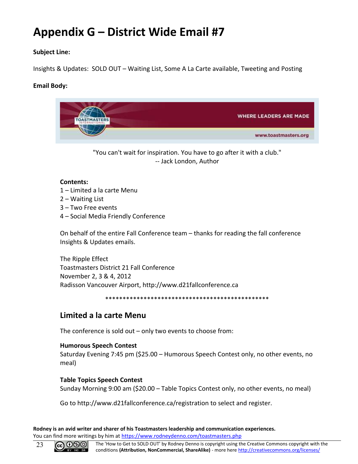## <span id="page-22-0"></span>**Appendix G – District Wide Email #7**

#### **Subject Line:**

Insights & Updates: SOLD OUT – Waiting List, Some A La Carte available, Tweeting and Posting

#### **Email Body:**



"You can't wait for inspiration. You have to go after it with a club." -- Jack London, Author

#### **Contents:**

- 1 Limited a la carte Menu
- 2 Waiting List
- 3 Two Free events
- 4 Social Media Friendly Conference

On behalf of the entire Fall Conference team – thanks for reading the fall conference Insights & Updates emails.

The Ripple Effect Toastmasters District 21 Fall Conference November 2, 3 & 4, 2012 Radisson Vancouver Airport, http://www.d21fallconference.ca

\*\*\*\*\*\*\*\*\*\*\*\*\*\*\*\*\*\*\*\*\*\*\*\*\*\*\*\*\*\*\*\*\*\*\*\*\*\*\*\*\*\*\*\*\*\*\*

#### **Limited a la carte Menu**

The conference is sold out – only two events to choose from:

#### **Humorous Speech Contest**

Saturday Evening 7:45 pm (\$25.00 – Humorous Speech Contest only, no other events, no meal)

#### **Table Topics Speech Contest**

Sunday Morning 9:00 am (\$20.00 – Table Topics Contest only, no other events, no meal)

Go to http://www.d21fallconference.ca/registration to select and register.

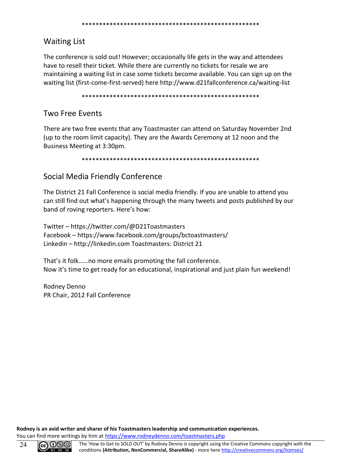#### \*\*\*\*\*\*\*\*\*\*\*\*\*\*\*\*\*\*\*\*\*\*\*\*\*\*\*\*\*\*\*\*\*\*\*\*\*\*\*\*\*\*\*\*\*\*\*\*\*\*\*

#### Waiting List

The conference is sold out! However; occasionally life gets in the way and attendees have to resell their ticket. While there are currently no tickets for resale we are maintaining a waiting list in case some tickets become available. You can sign up on the waiting list (first-come-first-served) here http://www.d21fallconference.ca/waiting-list

\*\*\*\*\*\*\*\*\*\*\*\*\*\*\*\*\*\*\*\*\*\*\*\*\*\*\*\*\*\*\*\*\*\*\*\*\*\*\*\*\*\*\*\*\*\*\*\*\*\*\*

#### Two Free Events

There are two free events that any Toastmaster can attend on Saturday November 2nd (up to the room limit capacity). They are the Awards Ceremony at 12 noon and the Business Meeting at 3:30pm.

\*\*\*\*\*\*\*\*\*\*\*\*\*\*\*\*\*\*\*\*\*\*\*\*\*\*\*\*\*\*\*\*\*\*\*\*\*\*\*\*\*\*\*\*\*\*\*\*\*\*\*

#### Social Media Friendly Conference

The District 21 Fall Conference is social media friendly. If you are unable to attend you can still find out what's happening through the many tweets and posts published by our band of roving reporters. Here's how:

Twitter – https://twitter.com/@D21Toastmasters Facebook – https://www.facebook.com/groups/bctoastmasters/ Linkedin – http://linkedin.com Toastmasters: District 21

That's it folk……no more emails promoting the fall conference. Now it's time to get ready for an educational, inspirational and just plain fun weekend!

Rodney Denno PR Chair, 2012 Fall Conference

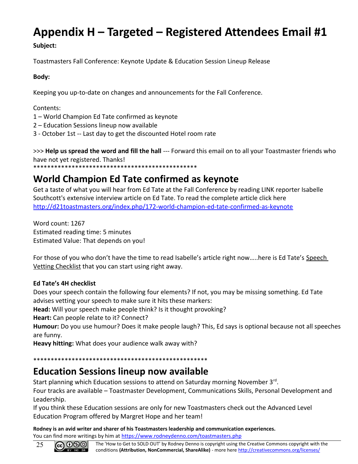## <span id="page-24-0"></span>**Appendix H – Targeted – Registered Attendees Email #1**

#### **Subject:**

Toastmasters Fall Conference: Keynote Update & Education Session Lineup Release

#### **Body:**

Keeping you up-to-date on changes and announcements for the Fall Conference.

Contents:

- 1 World Champion Ed Tate confirmed as keynote
- 2 Education Sessions lineup now available
- 3 October 1st -- Last day to get the discounted Hotel room rate

>>> **Help us spread the word and fill the hall** --- Forward this email on to all your Toastmaster friends who have not yet registered. Thanks!

\*\*\*\*\*\*\*\*\*\*\*\*\*\*\*\*\*\*\*\*\*\*\*\*\*\*\*\*\*\*\*\*\*\*\*\*\*\*\*\*\*\*\*\*\*\*\*

## **World Champion Ed Tate confirmed as keynote**

Get a taste of what you will hear from Ed Tate at the Fall Conference by reading LINK reporter Isabelle Southcott's extensive interview article on Ed Tate. To read the complete article click here <http://d21toastmasters.org/index.php/172-world-champion-ed-tate-confirmed-as-keynote>

Word count: 1267 Estimated reading time: 5 minutes Estimated Value: That depends on you!

For those of you who don't have the time to read Isabelle's article right now.....here is Ed Tate's Speech Vetting Checklist that you can start using right away.

#### **Ed Tate's 4H checklist**

Does your speech contain the following four elements? If not, you may be missing something. Ed Tate advises vetting your speech to make sure it hits these markers:

**Head:** Will your speech make people think? Is it thought provoking?

**Heart:** Can people relate to it? Connect?

**Humour:** Do you use humour? Does it make people laugh? This, Ed says is optional because not all speeches are funny.

**Heavy hitting:** What does your audience walk away with?

\*\*\*\*\*\*\*\*\*\*\*\*\*\*\*\*\*\*\*\*\*\*\*\*\*\*\*\*\*\*\*\*\*\*\*\*\*\*\*\*\*\*\*\*\*\*\*\*\*\*

## **Education Sessions lineup now available**

Start planning which Education sessions to attend on Saturday morning November 3<sup>rd</sup>.

Four tracks are available – Toastmaster Development, Communications Skills, Personal Development and Leadership.

If you think these Education sessions are only for new Toastmasters check out the Advanced Level Education Program offered by Margret Hope and her team!

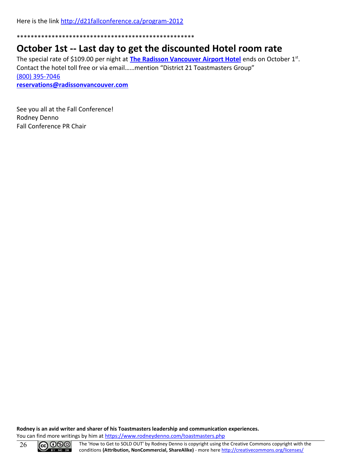Here is the link<http://d21fallconference.ca/program-2012>

\*\*\*\*\*\*\*\*\*\*\*\*\*\*\*\*\*\*\*\*\*\*\*\*\*\*\*\*\*\*\*\*\*\*\*\*\*\*\*\*\*\*\*\*\*\*\*\*\*\*\*

#### **October 1st -- Last day to get the discounted Hotel room rate**

The special rate of \$109.00 per night at **[The Radisson Vancouver Airport Hotel](http://www.radisson.com/richmond-hotel-bc-v6x3x9/bcvanair)** ends on October 1<sup>st</sup>. Contact the hotel toll free or via email……mention "District 21 Toastmasters Group" [\(800\) 395-7046](tel:(800)%20395-7046)

**[reservations@radissonvancouver.com](mailto:reservations@radissonvancouver.com)**

See you all at the Fall Conference! Rodney Denno Fall Conference PR Chair

**Rodney is an avid writer and sharer of his Toastmasters leadership and communication experiences.** You can find more writings by him at<https://www.rodneydenno.com/toastmasters.php>

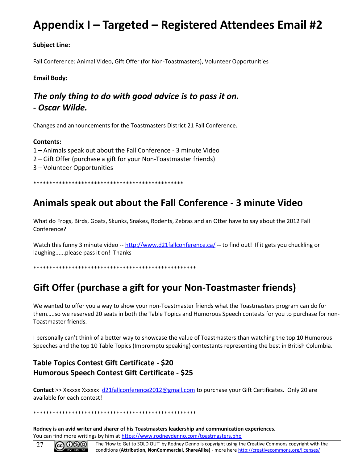## **Appendix I – Targeted – Registered Attendees Email #2**

**Subject Line:**

Fall Conference: Animal Video, Gift Offer (for Non-Toastmasters), Volunteer Opportunities

#### **Email Body:**

#### *The only thing to do with good advice is to pass it on. - Oscar Wilde.*

Changes and announcements for the Toastmasters District 21 Fall Conference.

#### **Contents:**

1 – Animals speak out about the Fall Conference - 3 minute Video

- 2 Gift Offer (purchase a gift for your Non-Toastmaster friends)
- 3 Volunteer Opportunities

\*\*\*\*\*\*\*\*\*\*\*\*\*\*\*\*\*\*\*\*\*\*\*\*\*\*\*\*\*\*\*\*\*\*\*\*\*\*\*\*\*\*\*\*\*\*\*

### **Animals speak out about the Fall Conference - 3 minute Video**

What do Frogs, Birds, Goats, Skunks, Snakes, Rodents, Zebras and an Otter have to say about the 2012 Fall Conference?

Watch this funny 3 minute video -- [http://www.d21fallconference.ca/](http://www.facebook.com/l.php?u=http%3A%2F%2Fwww.d21fallconference.ca%2F&h=SAQFLgbBfAQE0IGdVuSaUQejNpeF-EimmePRB2uCTap8L8Q&s=1/t_blank) -- to find out! If it gets you chuckling or laughing......please pass it on! Thanks

\*\*\*\*\*\*\*\*\*\*\*\*\*\*\*\*\*\*\*\*\*\*\*\*\*\*\*\*\*\*\*\*\*\*\*\*\*\*\*\*\*\*\*\*\*\*\*\*\*\*\*

## **Gift Offer (purchase a gift for your Non-Toastmaster friends)**

We wanted to offer you a way to show your non-Toastmaster friends what the Toastmasters program can do for them…..so we reserved 20 seats in both the Table Topics and Humorous Speech contests for you to purchase for non-Toastmaster friends.

I personally can't think of a better way to showcase the value of Toastmasters than watching the top 10 Humorous Speeches and the top 10 Table Topics (Impromptu speaking) contestants representing the best in British Columbia.

#### **Table Topics Contest Gift Certificate - \$20 Humorous Speech Contest Gift Certificate - \$25**

**Contact** >> Xxxxxx Xxxxxx [d21fallconference2012@gmail.com](mailto:d21fallconference2012@gmail.com) to purchase your Gift Certificates. Only 20 are available for each contest!

\*\*\*\*\*\*\*\*\*\*\*\*\*\*\*\*\*\*\*\*\*\*\*\*\*\*\*\*\*\*\*\*\*\*\*\*\*\*\*\*\*\*\*\*\*\*\*\*\*\*\*

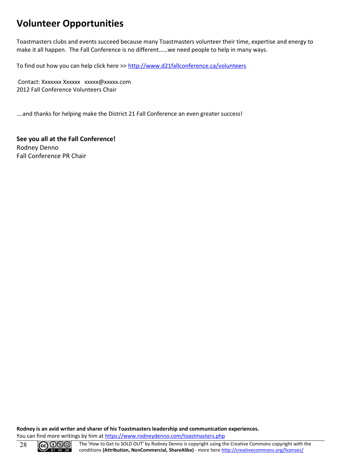## **Volunteer Opportunities**

Toastmasters clubs and events succeed because many Toastmasters volunteer their time, expertise and energy to make it all happen. The Fall Conference is no different……we need people to help in many ways.

To find out how you can help click here >><http://www.d21fallconference.ca/volunteers>

Contact: Xxxxxxx Xxxxxx xxxxx@xxxxx.com 2012 Fall Conference Volunteers Chair

….and thanks for helping make the District 21 Fall Conference an even greater success!

**See you all at the Fall Conference!** Rodney Denno Fall Conference PR Chair

**Rodney is an avid writer and sharer of his Toastmasters leadership and communication experiences.** You can find more writings by him at<https://www.rodneydenno.com/toastmasters.php>

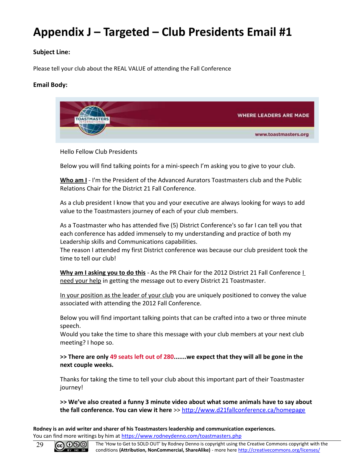## <span id="page-28-0"></span>**Appendix J – Targeted – Club Presidents Email #1**

#### **Subject Line:**

Please tell your club about the REAL VALUE of attending the Fall Conference

#### **Email Body:**



Hello Fellow Club Presidents

Below you will find talking points for a mini-speech I'm asking you to give to your club.

**Who am I** - I'm the President of the Advanced Aurators Toastmasters club and the Public Relations Chair for the District 21 Fall Conference.

As a club president I know that you and your executive are always looking for ways to add value to the Toastmasters journey of each of your club members.

As a Toastmaster who has attended five (5) District Conference's so far I can tell you that each conference has added immensely to my understanding and practice of both my Leadership skills and Communications capabilities.

The reason I attended my first District conference was because our club president took the time to tell our club!

**Why am I asking you to do this** - As the PR Chair for the 2012 District 21 Fall Conference *L* need your help in getting the message out to every District 21 Toastmaster.

In your position as the leader of your club you are uniquely positioned to convey the value associated with attending the 2012 Fall Conference.

Below you will find important talking points that can be crafted into a two or three minute speech.

Would you take the time to share this message with your club members at your next club meeting? I hope so.

**>> There are only 49 seats left out of 280.......we expect that they will all be gone in the next couple weeks.**

Thanks for taking the time to tell your club about this important part of their Toastmaster journey!

**>> We've also created a funny 3 minute video about what some animals have to say about the fall conference. You can view it here** >> [http://www.d21fallconference.ca/homepage](http://click.icptrack.com/icp/relay.php?r=1027821418&msgid=4633347&act=BRC1&c=14495&destination=http%3A%2F%2Fwww.d21fallconference.ca%2Fhomepage)

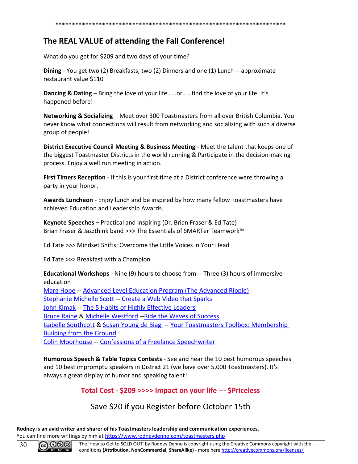#### \*\*\*\*\*\*\*\*\*\*\*\*\*\*\*\*\*\*\*\*\*\*\*\*\*\*\*\*\*\*\*\*\*\*\*\*\*\*\*\*\*\*\*\*\*\*\*\*\*\*\*\*\*\*\*\*\*\*\*\*\*\*\*\*\*\*\*\*\*

#### **The REAL VALUE of attending the Fall Conference!**

What do you get for \$209 and two days of your time?

**Dining** - You get two (2) Breakfasts, two (2) Dinners and one (1) Lunch -- approximate restaurant value \$110

**Dancing & Dating** – Bring the love of your life……or……find the love of your life. It's happened before!

**Networking & Socializing** – Meet over 300 Toastmasters from all over British Columbia. You never know what connections will result from networking and socializing with such a diverse group of people!

**District Executive Council Meeting & Business Meeting** - Meet the talent that keeps one of the biggest Toastmaster Districts in the world running & Participate in the decision-making process. Enjoy a well run meeting in action.

**First Timers Reception** - If this is your first time at a District conference were throwing a party in your honor.

**Awards Luncheon** - Enjoy lunch and be inspired by how many fellow Toastmasters have achieved Education and Leadership Awards.

**Keynote Speeches** – Practical and Inspiring (Dr. Brian Fraser & Ed Tate) Brian Fraser & Jazzthink band >>> The Essentials of SMARTer Teamwork™

Ed Tate >>> Mindset Shifts: Overcome the Little Voices in Your Head

Ed Tate >>> Breakfast with a Champion

**Educational Workshops** - Nine (9) hours to choose from -- Three (3) hours of immersive education [Marg Hope](http://click.icptrack.com/icp/relay.php?r=1027821418&msgid=4633347&act=BRC1&c=14495&destination=http%3A%2F%2Fwww.d21fallconference.ca%2F117-presenter-marg-hope) -- [Advanced Level Education Program \(The Advanced Ripple\)](http://click.icptrack.com/icp/relay.php?r=1027821418&msgid=4633347&act=BRC1&c=14495&destination=http%3A%2F%2Fwww.d21fallconference.ca%2F116-workshop-advanced-facilitation) [Stephanie Michelle Scott](http://click.icptrack.com/icp/relay.php?r=1027821418&msgid=4633347&act=BRC1&c=14495&destination=http%3A%2F%2Fwww.d21fallconference.ca%2F114-presenter-stephanie-michelle-scott) -- [Create a Web Video that Sparks](http://click.icptrack.com/icp/relay.php?r=1027821418&msgid=4633347&act=BRC1&c=14495&destination=http%3A%2F%2Fwww.d21fallconference.ca%2F115-workshop-video-sparks) [John Kimak](http://click.icptrack.com/icp/relay.php?r=1027821418&msgid=4633347&act=BRC1&c=14495&destination=http%3A%2F%2Fwww.d21fallconference.ca%2F107-presenter-john-kimak) -- [The 5 Habits of Highly Effective Leaders](http://click.icptrack.com/icp/relay.php?r=1027821418&msgid=4633347&act=BRC1&c=14495&destination=http%3A%2F%2Fwww.d21fallconference.ca%2F106-workshop-leader-habits) [Bruce Raine](http://click.icptrack.com/icp/relay.php?r=1027821418&msgid=4633347&act=BRC1&c=14495&destination=http%3A%2F%2Fwww.d21fallconference.ca%2F112-presenter-bruce-raine) & [Michelle Westford](http://click.icptrack.com/icp/relay.php?r=1027821418&msgid=4633347&act=BRC1&c=14495&destination=http%3A%2F%2Fwww.d21fallconference.ca%2F113-presenter-michelle-westford) -[-Ride the Waves of Success](http://click.icptrack.com/icp/relay.php?r=1027821418&msgid=4633347&act=BRC1&c=14495&destination=http%3A%2F%2Fwww.d21fallconference.ca%2F111-workshop-ride-waves) [Isabelle Southcott](http://click.icptrack.com/icp/relay.php?r=1027821418&msgid=4633347&act=BRC1&c=14495&destination=http%3A%2F%2Fwww.d21fallconference.ca%2F108-presenter-isabelle-southcott) & [Susan Young de Biagi](http://click.icptrack.com/icp/relay.php?r=1027821418&msgid=4633347&act=BRC1&c=14495&destination=http%3A%2F%2Fwww.d21fallconference.ca%2F109-presenter-susan-biagi) -- [Your Toastmasters Toolbox: Membership](http://click.icptrack.com/icp/relay.php?r=1027821418&msgid=4633347&act=BRC1&c=14495&destination=http%3A%2F%2Fwww.d21fallconference.ca%2F110-workshop-toastmasters-toolbox)  [Building from the Ground](http://click.icptrack.com/icp/relay.php?r=1027821418&msgid=4633347&act=BRC1&c=14495&destination=http%3A%2F%2Fwww.d21fallconference.ca%2F110-workshop-toastmasters-toolbox) [Colin Moorhouse](http://click.icptrack.com/icp/relay.php?r=1027821418&msgid=4633347&act=BRC1&c=14495&destination=http%3A%2F%2Fwww.d21fallconference.ca%2F118-presenter-colin-moorhouse) -- [Confessions of a Freelance Speechwriter](http://click.icptrack.com/icp/relay.php?r=1027821418&msgid=4633347&act=BRC1&c=14495&destination=http%3A%2F%2Fwww.d21fallconference.ca%2F119-workshop-speechwriting)

**Humorous Speech & Table Topics Contests** - See and hear the 10 best humorous speeches and 10 best impromptu speakers in District 21 (we have over 5,000 Toastmasters). It's always a great display of humor and speaking talent!

#### **Total Cost - \$209 >>>> Impact on your life --- \$Priceless**

#### Save \$20 if you Register before October 15th

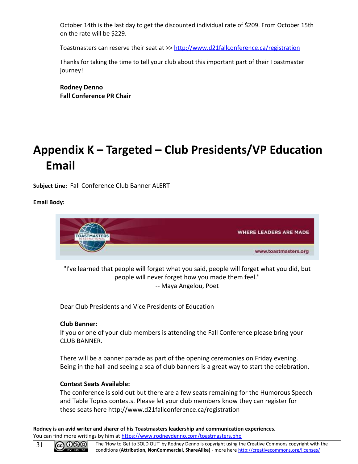October 14th is the last day to get the discounted individual rate of \$209. From October 15th on the rate will be \$229.

Toastmasters can reserve their seat at >> [http://www.d21fallconference.ca/registration](http://click.icptrack.com/icp/relay.php?r=1027821418&msgid=4633347&act=BRC1&c=14495&destination=http%3A%2F%2Fwww.d21fallconference.ca%2Fregistration)

Thanks for taking the time to tell your club about this important part of their Toastmaster journey!

**Rodney Denno Fall Conference PR Chair**

## <span id="page-30-0"></span>**Appendix K – Targeted – Club Presidents/VP Education Email**

**Subject Line:** Fall Conference Club Banner ALERT

**Email Body:**



"I've learned that people will forget what you said, people will forget what you did, but people will never forget how you made them feel." -- Maya Angelou, Poet

Dear Club Presidents and Vice Presidents of Education

#### **Club Banner:**

If you or one of your club members is attending the Fall Conference please bring your CLUB BANNER.

There will be a banner parade as part of the opening ceremonies on Friday evening. Being in the hall and seeing a sea of club banners is a great way to start the celebration.

#### **Contest Seats Available:**

The conference is sold out but there are a few seats remaining for the Humorous Speech and Table Topics contests. Please let your club members know they can register for these seats here http://www.d21fallconference.ca/registration

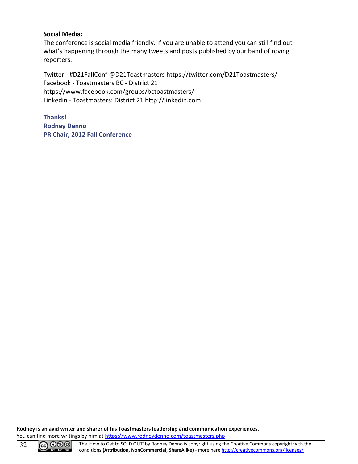#### **Social Media:**

The conference is social media friendly. If you are unable to attend you can still find out what's happening through the many tweets and posts published by our band of roving reporters.

Twitter - #D21FallConf @D21Toastmasters https://twitter.com/D21Toastmasters/ Facebook - Toastmasters BC - District 21 https://www.facebook.com/groups/bctoastmasters/ Linkedin - Toastmasters: District 21 http://linkedin.com

**Thanks! Rodney Denno PR Chair, 2012 Fall Conference**

**Rodney is an avid writer and sharer of his Toastmasters leadership and communication experiences.** You can find more writings by him at<https://www.rodneydenno.com/toastmasters.php>